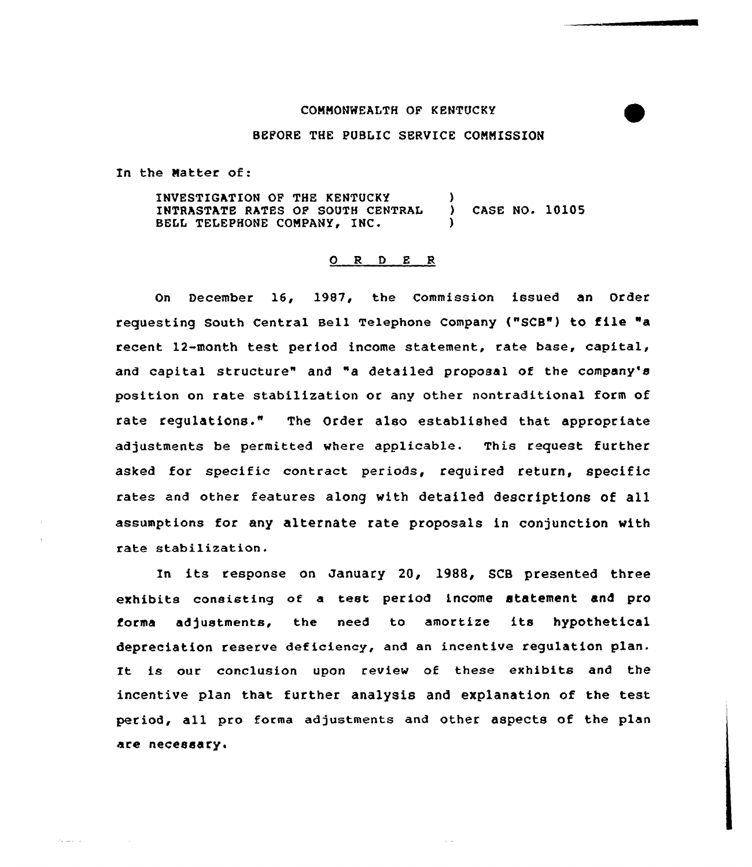### COMMONWEALTH OF KENTUCKY

### BEFORE THE PUBLIC SERVICE COMMISSION

In the Natter of:

الأرباب للأملاء

INVESTIGATION OF THE KENTUCKY INTRASTATE RATES OF SOUTH CENTRAL ) CASE NO. 10105 BELL TELEPHONE COMPANY, INC.

### $O$  R D E R

On December 16, 1987, the Commission issued an Order requesting South Central Sell Telephone Company ("SCB") to file "a recent 12-month test period income statement, rate base, capital, and capital structure" and "a detailed proposal of the company's position on rate stabilization or any other nontraditional form of rate regulations." The Order also established that appropriate adjustments be permitted where applicable. This request further asked for specific contract periods, required return, specific rates and other features along with detailed descriptions of all assumptions for any alternate rate proposals in conjunction with rate stabilization.

In its response on January 20, 1988, SCB presented three exhibits consisting of a test period income statement and pro forma adjustments, the need to amortize its hypothetical depreciation reserve deficiency, and an incentive regulation plan. It is our conclusion upon review of these exhibits and the incentive plan that further analysis and explanation of the test period, all pro forma adjustments and other aspects of the plan are necessary,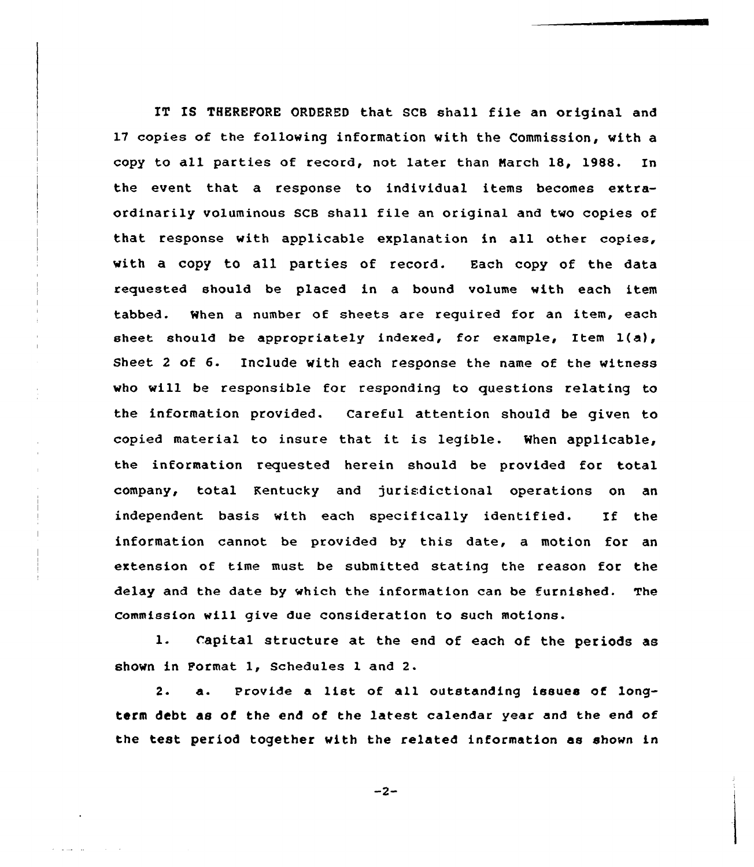IT IS THEREFORE ORDERED that SCB shall file an original and 17 copies of the following information with the Commission, with a copy to all parties of record, not later than March 18, 1988. In the event that a response to individual items becomes extraordinarily voluminous SCB shall file an original and tvo copies of that response with applicable explanation in all other copies, with a copy to all parties of record. Each copy of the data requested should be placed in a bound volume vith each item tabbed. When a number of sheets are required for an item, each sheet should be appropriately indexed, for example, Item 1(a), Sheet 2 of 6. Include with each response the name of the witness vho vill be responsible for responding to questions relating to the information provided. Careful attention should be given to copied material to insure that it is legible. When applicable, the information requested herein should be provided for total company, total Kentucky and jurisdictional operations on an independent basis with each specifically identified. If the information cannot be provided by this date, a motion for an extension of time must be submitted stating the reason for the delay and the date by which the information can be furnished. The commission vill give due consideration to such motions.

l. Capital structure at the end of each of the periods as shown in Format 1, Schedules <sup>1</sup> and 2.

2.  $a.$  Provide a list of all outstanding issues of longterm debt as of the end of the latest calendar year and the end of the test period together with the related information as shown in

 $-2-$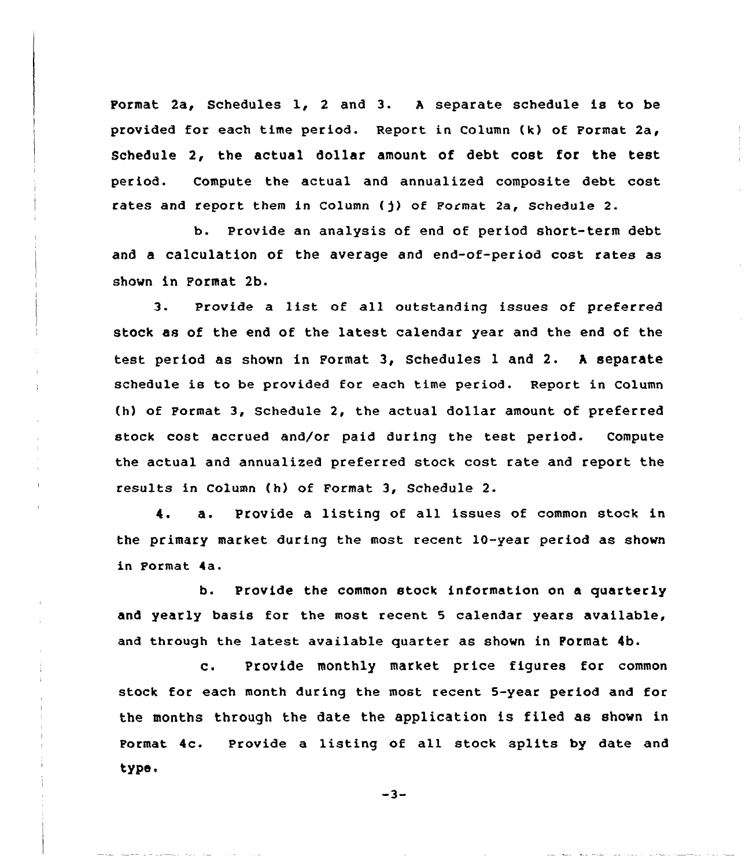Format 2a, Schedules l, <sup>2</sup> and 3. <sup>A</sup> separate schedule is to be provided for each time period. Report in Column {k) of Format 2a, Schedule 2, the actual dollar amount of debt cost for the test period. Compute the actual and annualized composite debt cost rates and report them in Column {)) of Format 2a, Schedule 2.

b. Provide an analysis of end of period short-term debt and a calculation of the average and end-of-period cost rates as shown in Format 2b.

3. Provide <sup>a</sup> list of all outstanding issues of preferred stock as of the end of the latest calendar year and the end of the test period as shown in Format 3, Schedules <sup>1</sup> and 2. <sup>A</sup> separate schedule is to be provided for each time period. Report in Column (h) of Format 3, Schedule 2, the actual dollar amount of preferred stock cost accrued and/or paid during the test period. Compute the actual and annualized preferred stock cost rate and report the results in Column {h) of Format 3, Schedule 2.

4. a. Provide a listing of all issues of common stock in the primary market during the most recent 10-year period as shown in Format 4a.

b. Provide the common stock information on a quarterly and yearly basis for the most recent 5 calendar years available, and through the latest available quarter as shown in Format 4b.

C. Provide monthly market price figures for common stock for each month during the most recent 5-year period and for the months through the date the application is filed as shown in Format 4c. Provide a listing of all stock splits by date and type.

 $-3-$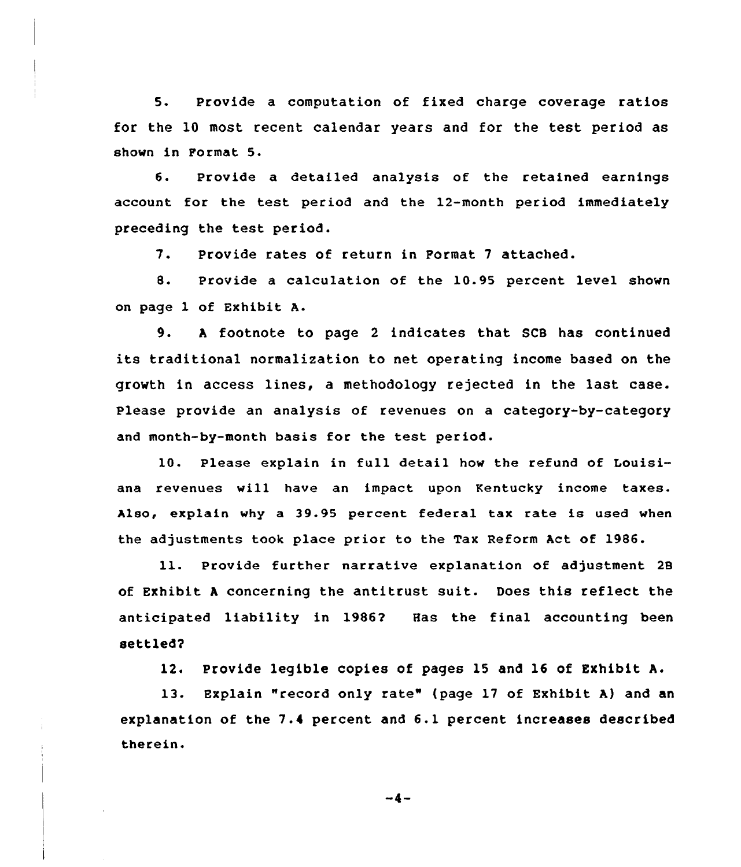5. Provide a computation of fixed charge coverage ratios for the 10 most recent calendar years and for the test period as shown in Format 5.

6. Provide a detailed analysis of the retained earnings account for the test period and the 12-month period immediately preceding the test period.

7. Provide rates of return in Format <sup>7</sup> attached.

8. Provide <sup>a</sup> calculation of the 10.95 percent level shown on page 1 of Exhibit A.

9. <sup>A</sup> footnote to page <sup>2</sup> indicates that SCB has continued its traditional normalization to net operating income based on the growth in access lines, a methodology rejected in the last case. Please provide an analysis of revenues on a category-by-category and month-by-month basis for the test period.

10. Please explain in full detail how the refund of Louisiana revenues vill have an impact upon Kentucky income taxes. Also, explain vhy a 39.95 percent federal tax rate is used vhen the adjustments took place prior to the Tax Reform Act of 1986.

ll. Provide further narrative explanation of adjustment <sup>28</sup> of Exhibit <sup>A</sup> concerning the antitrust suit. Does this reflect the anticipated liability in 1986? Has the final accounting been settled?

12. Provide legible copies of pages 15 and 16 of Exhibit A.

13. Explain "record only rate" (page 17 of Exhibit A} and an explanation of the 7.4 percent and 6.1 percent increases described therein.

 $-4-$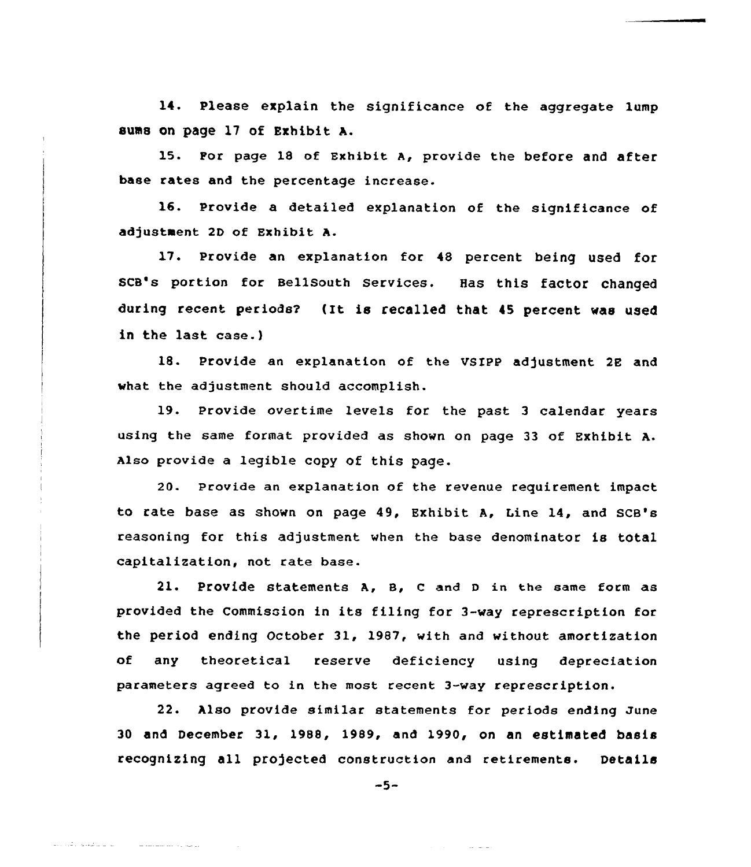14. Please explain the significance of the aggregate lump sums on page 17 of Exhibit A.

15. For page 18 of Exhibit A, provide the before and after base rates and the percentage increase.

16. Provide a detailed explanation of the significance of adjustment 2D of Exhibit A.

17. Provide an explanation for <sup>48</sup> percent being used for scB's portion for Bellsouth services. Has this factor changed during recent periods? (It is recalled that 45 percent was used in the last case.)

18. Provide an explanation of the VSXPP adjustment 2E and what the adjustment should accomplish.

19. provide overtime levels for the past <sup>3</sup> calendar years using the same format provided as shown on page 33 of Exhibit A. Also provide a legible copy of this page.

20. Provide an explanation of the revenue requirement impact to rate base as shown on page 49, Exhibit A, Line 14, and SCB's reasoning for this adjustment when the base denominator is total capitalization, not rate base.

21. Provide statements A, 8, <sup>C</sup> and <sup>D</sup> in the same form as provided the Commission in its filing for 3-way represcription for the period ending October 31, 1987, with and without amortization of any theoretical reserve deficiency using depreciation parameters agreed to in the most recent 3-way represcription.

22. Also provide similar statements for periods ending June 30 and December 31, 1988, 1989, and 1990, on an estimated basis recognizing all projected construction and retirements. Details

 $-5-$ 

المستحدث والمتحدث والأقراء والمد

المتحدث والمستشفين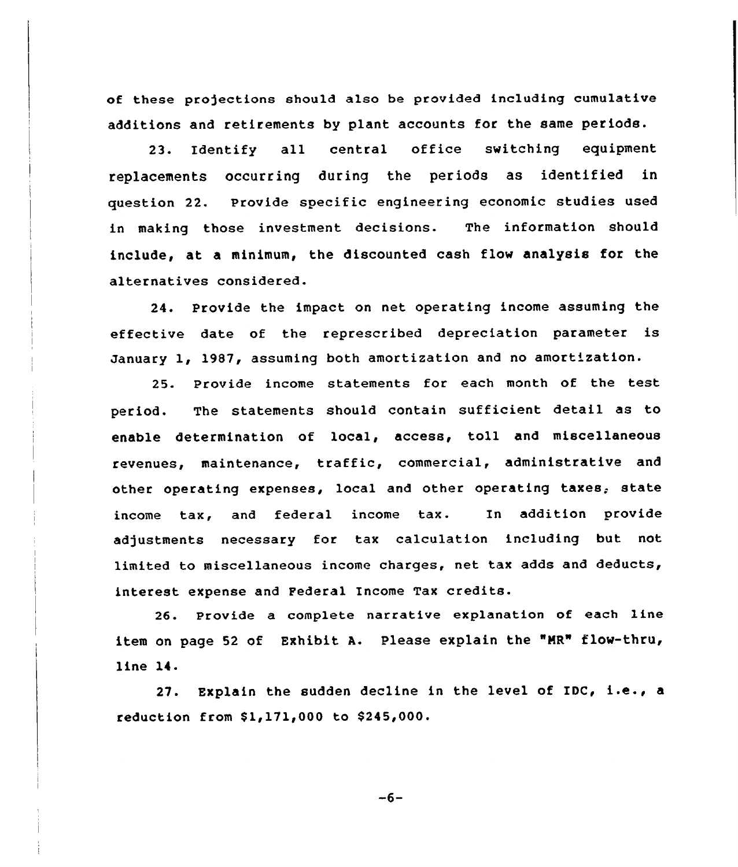of these projections should also be provided including cumulative additions and retirements by plant accounts for the same periods.

23. Identify all central office switching equipment replacements occurring during the periods as identified in question 22. Provide specific engineering economic studies used in making those investment decisions. The information should include, at a minimum, the discounted cash flow analysis for the alternatives considered.

24. Provide the impact on net operating income assuming the effective date of the represcribed depreciation parameter is January 1, 1987, assuming both amortization and no amortization.

25. Provide income statements for each month of the test period. The statements should contain sufficient detail as to enable determination of local, access, toll and miscellaneous revenues, maintenance, traffic, commercial, administrative and other operating expenses, local and other operating taxes, state income tax, and federal income tax. In addition provide adjustments necessary for tax calculation including but not limited to miscellaneous income charges, net tax adds and deducts, interest expense and Federal Income Tax credits.

26. Provide a complete narrative explanation of each line item on page 52 of Exhibit A. Please explain the "NR" flow-thru, line 14.

27. Explain the sudden decline in the level of IDC, i.e., <sup>a</sup> reduction from \$1,171,000 to \$245,000.

 $-6-$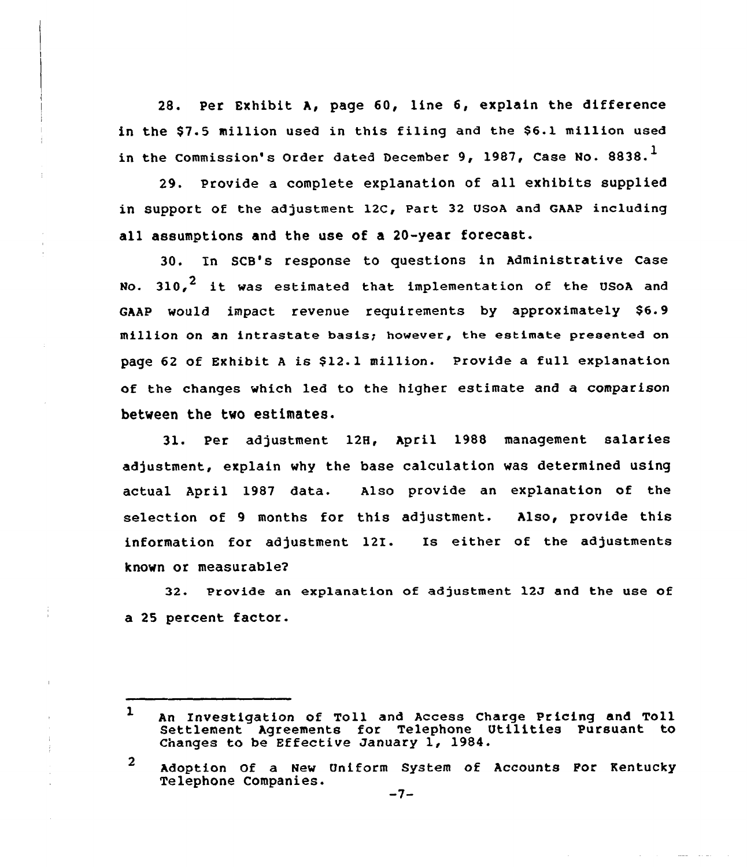28. Per Exhibit A, page 60, line 6, explain the difference in the \$7.5 million used in this filing and the \$6.1 million used in the Commission's Order dated December 9, 1987, Case No. 8838. $^1$ 

29. Provide a complete explanation of all exhibits supplied in support of the adjustment 12C, Part 32 USoA and GAAP including all assumptions and the use of a 20-year forecast.

30. In SCB's response to questions in Administrative Case No.  $310.$ <sup>2</sup> it was estimated that implementation of the USoA and GAAP would impact revenue requirements by approximately \$6.9 million on an intrastate basis; however, the estimate presented on page 62 of Exhibit A is \$12.1 million. Provide a full explanation of the changes which led to the higher estimate and a comparison between the two estimates.

31. Per adjustment 128, April 1988 management salaries adjustment, explain why the base calculation was determined using actual April 1987 data. Also provide an explanation of the selection of 9 months for this adjustment. Also, provide this information for adjustment  $12I.$  Is either of the adjustment known or measurable2

32. Provide an explanation of adjustment 12J and the use of a 25 percent factor.

÷

 $\overline{2}$ Adoption Of a New Uniform System of Accounts Por Kentucky Telephone Companies.<br>-7-

 $\mathbf{1}$ An Investigation of Toll and Access Charge Pricing and Toll Settlement Agreements for Telephone Utilities Pursuant to Changes to be Effective January  $1$ , 1984.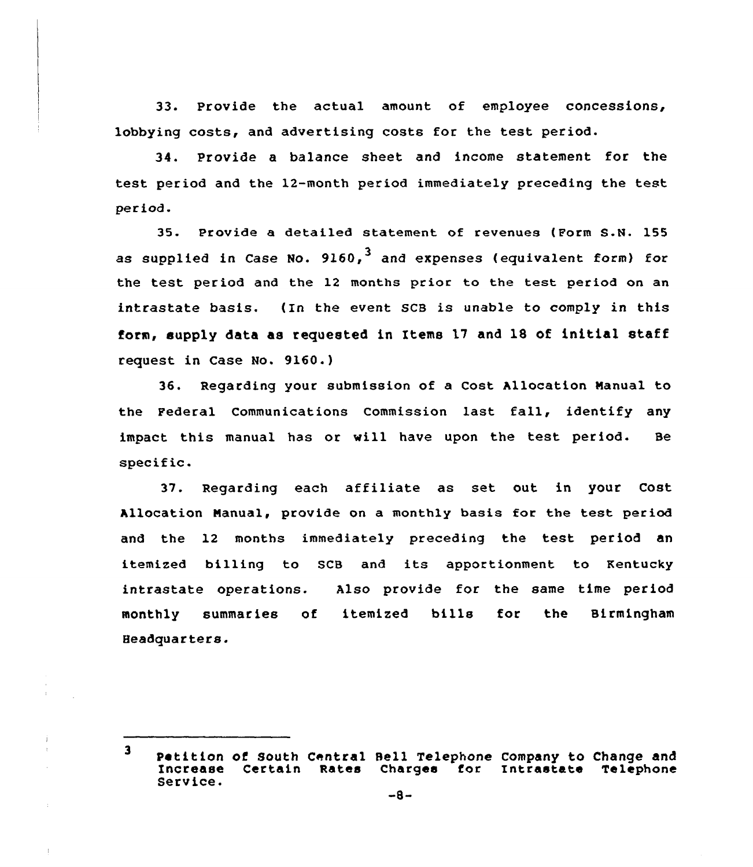33. Provide the actual amount of employee concessions, lobbying costs, and advertising costs for the test period.

34. Provide a balance sheet and income statement for the test period and the 12-month period immediately preceding the test period.

35. Provide a detailed statement of revenues (Form S.N. 155 as supplied in Case No.  $9160<sub>1</sub>$  and expenses (equivalent form) for the test period and the 12 months prior to the test period on an intrastate basis. (In the event SCB is unable to comply in this form, supply data as requested in Items 17 and 18 of initial staff request in Case No. 9160.)

36. Regarding your submission of a Cost Allocation Nanual to the Federal Communications Commission last fall, identify any impact this manual has or vill have upon the test period. Be specific.

37. Regarding each affiliate as set out in your Cost Allocation Nanual, provide on a monthly basis for the test period and the 12 months immediately preceding the test period an itemized billing to SCB and its apportionment to Kentucky intrastate operations. Also provide for the same time period monthly summaries of itemized bills for the Birmingham Headquarters.

 $\mathbf{3}$ Petition of South Central Bell Telephone Company to Change and Increase Certain Rates Charges for Intrastate Telephone<br>Service. -8-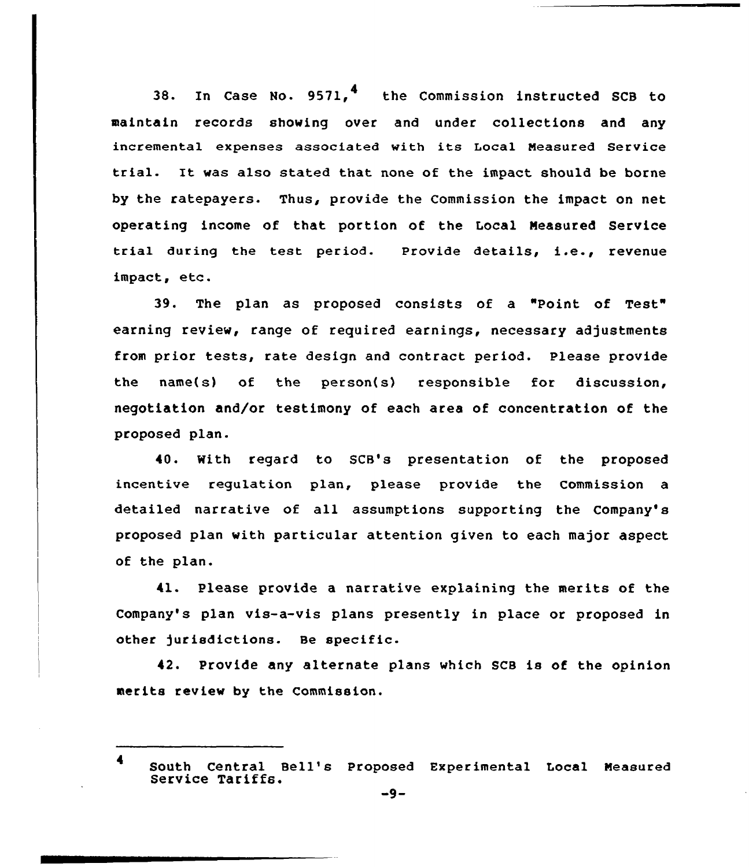38. In Case No.  $9571$ , <sup>4</sup> the Commission instructed SCB to maintain records showing over and under collections and any incremental expenses associated with its Local Neasured Service trial. It was also stated that none of the impact should be borne by the ratepayers. Thus, provide the Commission the impact on net operating income of that portion of the Local Neasured Service trial during the test period. Provide details, i.e., revenue impact, etc.

39. The plan as proposed consists of a "Point of Test" earning review, range of required earnings, necessary adjustments from prior tests, rate design and contract period. Please provide the name(s) of the person(s) responsible for discussion, negotiation and/or testimony of each area of concentration of the proposed plan.

40. With regard to SCB's presentation of the proposed incentive regulation plan, please provide the Commission a detailed narrative of all assumptions supporting the Company's proposed plan with particular attention given to each major aspect of the plan.

41. Please provide a narrative explaining the merits of the Company's plan vis-a-vis plans presently in place or proposed in other jurisdictions. Be specific.

42. Provide any alternate plans which SCB is of the opinion merits review by the Commission.

<sup>4</sup> South Central Bell's Proposed Experimental Local Measured Service Tariffs.<br>-9-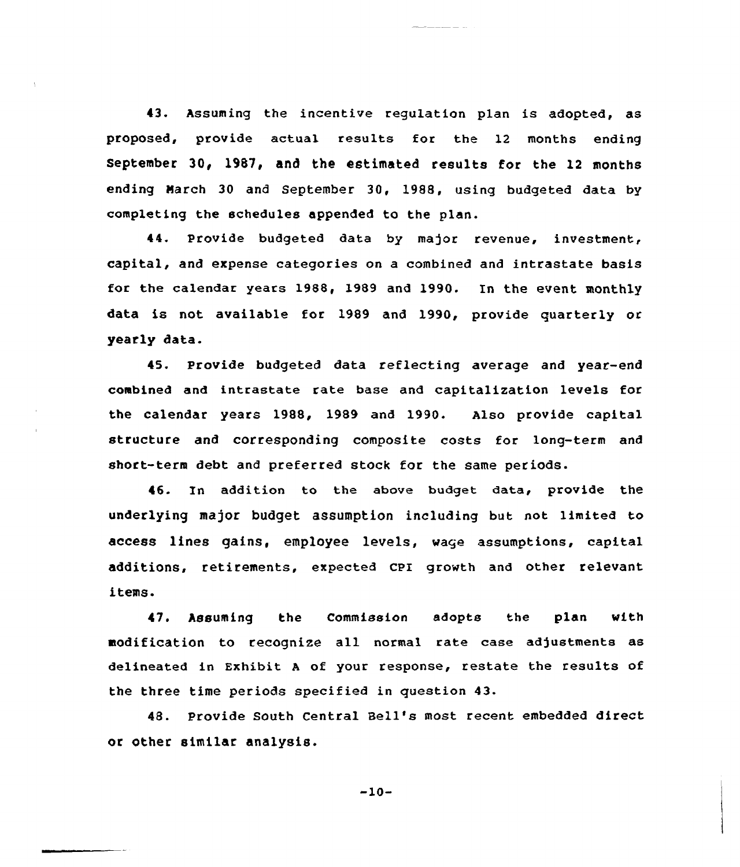43. Assuming the incentive regulation plan is adopted, as proposed, provide actual results for the 12 months ending September 30, 1987, and the estimated results for the 12 months ending March 30 and September 30, 1988, using budgeted data by completing the schedules appended to the plan.

44. Provide budgeted data by major revenue, investment, capital, and expense categories on a combined and intrastate basis for the calendar years 1988, 1989 and 1990. In the event monthly data is not available for 1989 and 1990, provide quarterly or yearly data.

45. Provide budgeted data reflecting average and year-end combined and intrastate rate base and capitalization levels for the calendar years 1988, 1989 and 1990. Also provide capital structure and corresponding composite costs for long-term and short-term debt and preferred stock for the same periods.

46. In addition to the above budget data, provide the underlying major budget assumption including but not limited to access lines gains, employee levels, wage assumptions, capital additions, retirements, expected CPI growth and other relevant items.

47. Assuming the Commission adopts the plan with modification to recognize all normal rate case adjustments as delineated in Exhibit <sup>A</sup> of your response, restate the results of the three time periods specified in question 43.

48. Provide South Central Bell's most recent embedded direct or other similar analysis.

 $-10-$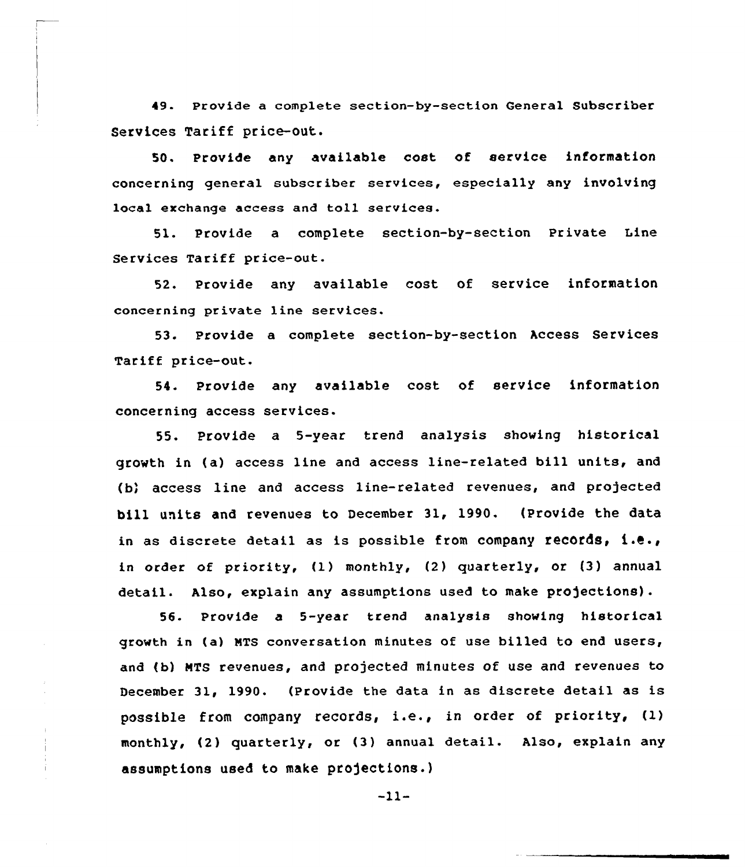49. Provide a complete section-by-section General Subscriber Services Tariff price-out.

50. Provide any available cost of service information concerning general subscriber services, especially any involving local exchange access and toll services.

51. Provide a complete section-by-section Private tine Services Tariff price-out.

52. Provide any available cost of service information concerning private line services.

53. Provide a complete section-by-section Access Services Tariff price-out.

54. Provide any available cost of service information concerning access services.

55. Provide a 5-year trend analysis showing historical growth in (a) access line and access line-related bill units, and (b) access line and access line-related revenues, and projected bill units and revenues to December 31, 1990. (Provide the data in as discrete detail as is possible from company records, i.e., in order of priority, (1) monthly, (2) quarterly, or (3) annual detail. Also, explain any assumptions used to make projections).

56. Provide a 5-year trend analysis showing historica1 growth in (a) MTS conversation minutes of use billed to end users, and (b) NTS revenues, and projected minutes of use and revenues to December 31, 1990. (Provide the data in as discrete detail as is possible from company records, i.e., in order of priority, (1) monthly, (2) quarterly, or (3) annual detail. Also, explain any assumptions used to make projections.)

-11-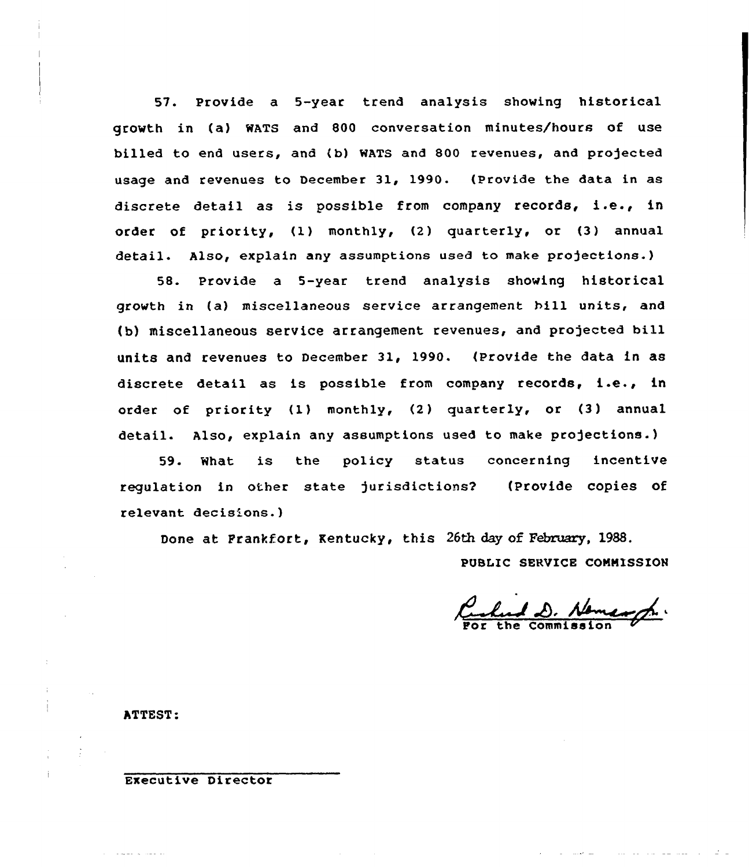57. Provide a 5-year trend analysis showing historical growth in (a) wATs and 800 conversation minutes/hours of use billed to end users, and (b) WATS and 800 revenues, and projected usage and revenues to December 31, 1990. (Provide the data in as discrete detail as is possible from company records, i.e., in order of priority, (1) monthly, (2) quarterly, or (3) annual detail. Also, explain any assumptions used to make projections.)

58. Provide a 5-year trend analysis showing historical growth in (a) miscellaneous service arrangement hill units, and (b) miscellaneous service arrangement revenues, and projected bill units and revenues to December 31, 1990. (Provide the data in as discrete detail as is possible from company records, i.e., in order of priority (1) monthly, (2) quarterly, or (3) annual detail. Also, explain any assumptions used to make projections.)

59. What is the policy status concerning incentive regulation in other state jurisdictions2 (Provide copies of relevant decis'ons.)

Done at Frankfort, Kentucky, this 26th day of February, 1988.

PUSIIC SERVICE COMMISSION

Certains D. Nomangh.

ATTEST:

Executive Director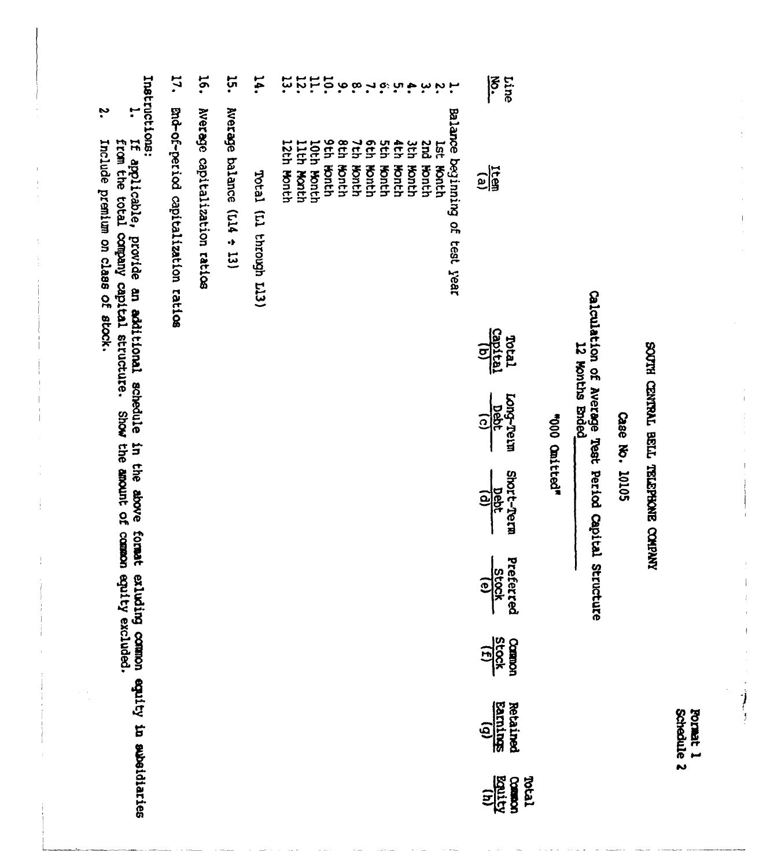Schedule 2 **Format 1** 

# RIVENCO ENCHASTEL TISTE TIVALIVED HILOOS

 $\bar{\bar{1}}$ 

 $\frac{1}{1}$ 

 $\bar{1}$ 

 $\mathbf{r}$ 

### Case No. 10105

## Calculation of Average Test Period Capital Structure 12 Nonths Bnded

### "000 cmitted"

| $\frac{1}{3}$                   |
|---------------------------------|
| <u>ଚ୍ଚ୍ଚି</u>                   |
| Total<br>Captus                 |
| ong-Teur<br>Deat                |
| ihort-Tern<br>Debt<br>(d)       |
| Preferre<br><br>Stock           |
| <b>Composit</b><br>Stock<br>111 |
| $\frac{1}{\sin \theta}$         |
| <b>Rotal</b><br>Balitz<br>Roman |

Balance beginning of test year

**Addressed Lst Month** 

puz **Honth** 

3th Month

4th Month<br>5th Month

6th Month<br>7th Month<br>8th Month<br>9th Month<br>10th Month

Ep.

11th Month

 $\ddot{\tilde{u}}$  $\overline{\mathbf{z}}$ 

12th Month

 $\overline{5}$ Total (Ll through Li3)

 $\ddot{5}$ Nerage balance (Ll4 ÷ 13)

16. Nerage capitalization ratios

IJ. End-of-period capitalization ratios

Instructions:

ŗ If applicable, provide an additional schedule in the above format exluding common equity in aubeidiaries<br>from the total company capital structure. Show the amount of common equity excluded.

ب<br>• Include prentum on class of stock.

 $\begin{array}{c} \begin{array}{c} 1 \\ 1 \end{array} \end{array}$ 

 $\frac{1}{2}$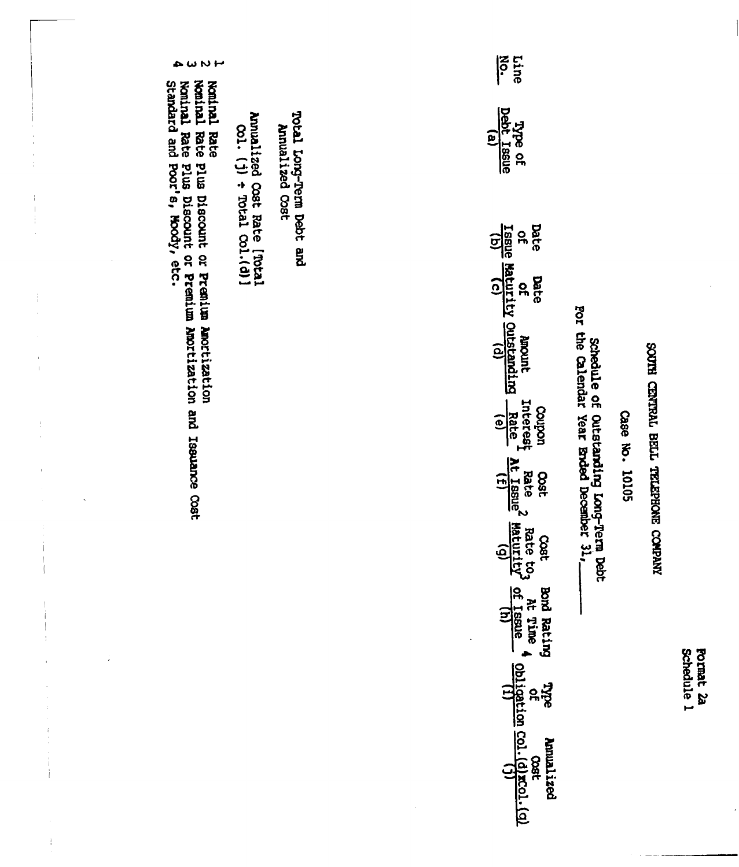| いいじ                                                                |                                                        |                                             |  | <b>iscle</b><br><b>Line</b>                                                                              |                                                                                    |                |                                      |
|--------------------------------------------------------------------|--------------------------------------------------------|---------------------------------------------|--|----------------------------------------------------------------------------------------------------------|------------------------------------------------------------------------------------|----------------|--------------------------------------|
| Nominal Rate Plus Discount or Premium Amortization<br>Noninal Rate | Annualized Cost Rate [Total]<br>$(1)$ + Total Col.(d)] | Total Long-Term Debt and<br>Annualized Cost |  | <b>Type of</b><br><b>Debt</b> Issue<br>ឲ្យ<br><u>Tssue</u>                                               |                                                                                    |                |                                      |
|                                                                    |                                                        |                                             |  | Date<br>Issue Maturity Quistanding<br><u>ណ្ដ</u><br><b>Date</b><br>$\mathbf{a}$                          |                                                                                    |                |                                      |
| continue and the particle distance Cost                            |                                                        |                                             |  | Ancount                                                                                                  | schedule of outstanding Long-Term bebt<br>For the Calendar Year Ended December 31, |                |                                      |
|                                                                    |                                                        |                                             |  | Interest<br>Rate<br>uodroo<br>$\frac{1}{(f)}$<br>Rate<br>Oost                                            |                                                                                    | Case No. 10105 | SOUTH CENTRAL BELL TELEPHONE COMPANY |
|                                                                    |                                                        |                                             |  | Raturity<br>Maturity<br>2800                                                                             |                                                                                    |                |                                      |
|                                                                    |                                                        |                                             |  | bnd Rating<br>$\begin{array}{c}\n\text{at time} \\ \text{of } \frac{1}{1680e} \\ \text{in}\n\end{array}$ |                                                                                    |                |                                      |
|                                                                    |                                                        |                                             |  | <u> 이성</u><br><b>Anualized</b>                                                                           |                                                                                    |                |                                      |
|                                                                    |                                                        |                                             |  |                                                                                                          |                                                                                    |                |                                      |

 $\sim$  0

Nominal Rate Plus Discount or Premium Amor<br>Standard and Poor's, Moody, etc. I ļ j

 $\overline{a}$ 

 $\bar{1}$  $\bar{1}$ Í  $\frac{1}{2}$ 

 $\frac{1}{4}$ 

 $\bar{1}$  $\overline{1}$ 

 $\frac{1}{2}$ 

 $\frac{1}{4}$  $\overline{1}$ 

 $\mathbf{1}$ 

 $\mathbf{f}$ 

j.

 $\label{eq:1} \frac{1}{2} \int_{\mathbb{R}^{2}} \frac{1}{2} \left( \frac{1}{2} \int_{\mathbb{R}^{2}} \frac{1}{2} \left( \frac{1}{2} \int_{\mathbb{R}^{2}} \frac{1}{2} \right) \left( \frac{1}{2} \int_{\mathbb{R}^{2}} \frac{1}{2} \right) \right) \, d\mu$ 

 $\frac{1}{3}$ 

Pormat 2a<br>Schedule 1

 $\ddot{\phantom{0}}$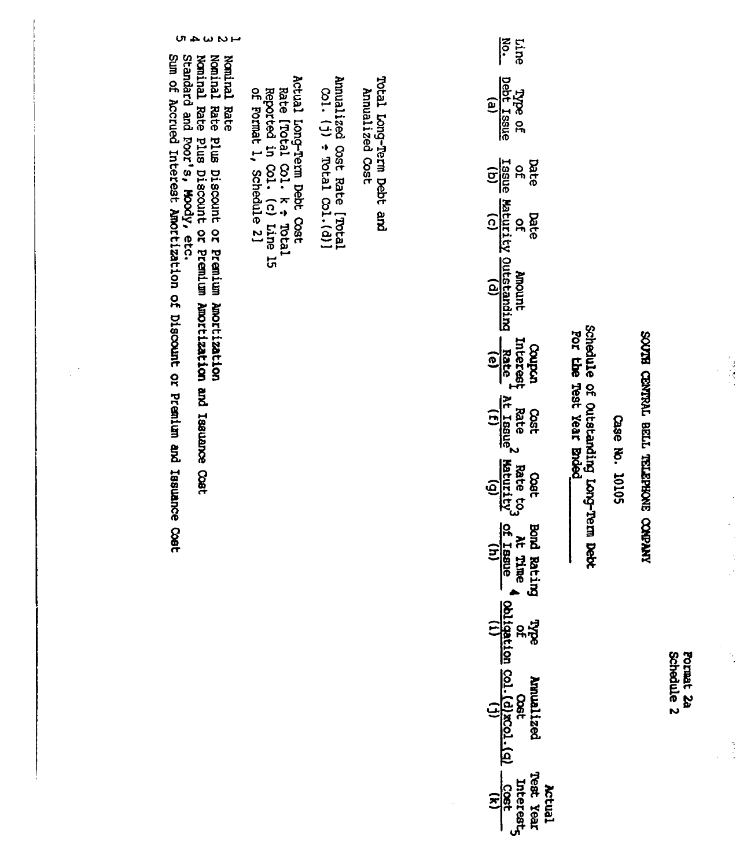| س<br>د          |                                                                                                                      |                                                                       |                                             | $\sum_{i=1}^{n}$<br>pine                                                                                                                                                                                                                                                                                                                    |                                                                   |                |
|-----------------|----------------------------------------------------------------------------------------------------------------------|-----------------------------------------------------------------------|---------------------------------------------|---------------------------------------------------------------------------------------------------------------------------------------------------------------------------------------------------------------------------------------------------------------------------------------------------------------------------------------------|-------------------------------------------------------------------|----------------|
| Noninal<br>Rate | Actual Long-Term Debt Cost<br>Rate [Total Col. k + Total<br>Reported in Col. (c) Line 15<br>of Format 1, Schedule 2] | Amualized $\cos$ t Rate [Total<br>col. (j) $\div$ Total $\cos$ . (d)] | Total Long-Term Debt and<br>Annualized Cost | Type of<br><u>bebt</u> Issue<br><b>Obbe</b> Issue                                                                                                                                                                                                                                                                                           |                                                                   |                |
|                 |                                                                                                                      |                                                                       |                                             |                                                                                                                                                                                                                                                                                                                                             |                                                                   |                |
|                 |                                                                                                                      |                                                                       |                                             |                                                                                                                                                                                                                                                                                                                                             |                                                                   |                |
|                 |                                                                                                                      |                                                                       |                                             | Date<br>of of Amount Interest<br>$\frac{1}{1}$<br>$\frac{1}{1}$<br>$\frac{1}{1}$<br>$\frac{1}{1}$<br>$\frac{1}{1}$<br>$\frac{1}{1}$<br>$\frac{1}{1}$<br>$\frac{1}{1}$<br>$\frac{1}{1}$<br>$\frac{1}{1}$<br>$\frac{1}{1}$<br>$\frac{1}{1}$<br>$\frac{1}{1}$<br>$\frac{1}{1}$<br>$\frac{1}{1}$<br>$\frac{1}{1}$<br>$\frac{1}{1}$<br>$\frac{1$ |                                                                   |                |
|                 |                                                                                                                      |                                                                       |                                             |                                                                                                                                                                                                                                                                                                                                             | Schedule of Outstanding Long-Term Debt<br>For the Test Year Broed |                |
|                 |                                                                                                                      |                                                                       |                                             | Cost                                                                                                                                                                                                                                                                                                                                        |                                                                   |                |
|                 |                                                                                                                      |                                                                       |                                             | $\frac{1}{1}$ Rate 2 Rate to <sub>3</sub><br>$\frac{1}{1}$ At Issue <sup>2</sup> Maturity <sup>2</sup> 1<br><b>Cost</b>                                                                                                                                                                                                                     |                                                                   | Case No. 10105 |
|                 |                                                                                                                      |                                                                       |                                             |                                                                                                                                                                                                                                                                                                                                             |                                                                   |                |
|                 |                                                                                                                      |                                                                       |                                             |                                                                                                                                                                                                                                                                                                                                             |                                                                   |                |
|                 |                                                                                                                      |                                                                       |                                             | Bond Rating Type Amualized Test Year<br>At Time (obligation $\frac{\cos t}{\cos t}$ cost<br>3 of Issue (obligation $\frac{\cos t}{\cos t}$ (q)<br>(h)<br>(h)<br>(h)<br>(h)<br>(h)<br>(i)<br>(i)<br>(i)<br>(h)                                                                                                                               |                                                                   |                |
|                 |                                                                                                                      |                                                                       |                                             |                                                                                                                                                                                                                                                                                                                                             |                                                                   |                |

Nominal Rate Plus Discount or Premium Amortization<br>Nominal Rate Plus Discount or Premium Amortization and Issuance Cost<br>Standard and Foor's, Moody, etc.<br>Sum of Accrued Interest Amortization of Discount or Premium and Issua

 $\frac{1}{2}$  ,  $\frac{1}{2}$ 

Format 2a<br>Schedule 2

# RNARO SNORATEL TTEE TVALWED BLOCS

 $\frac{1}{2}$ 

 $\ddot{\cdot}$ 

医子宫

 $M <sub>W</sub>$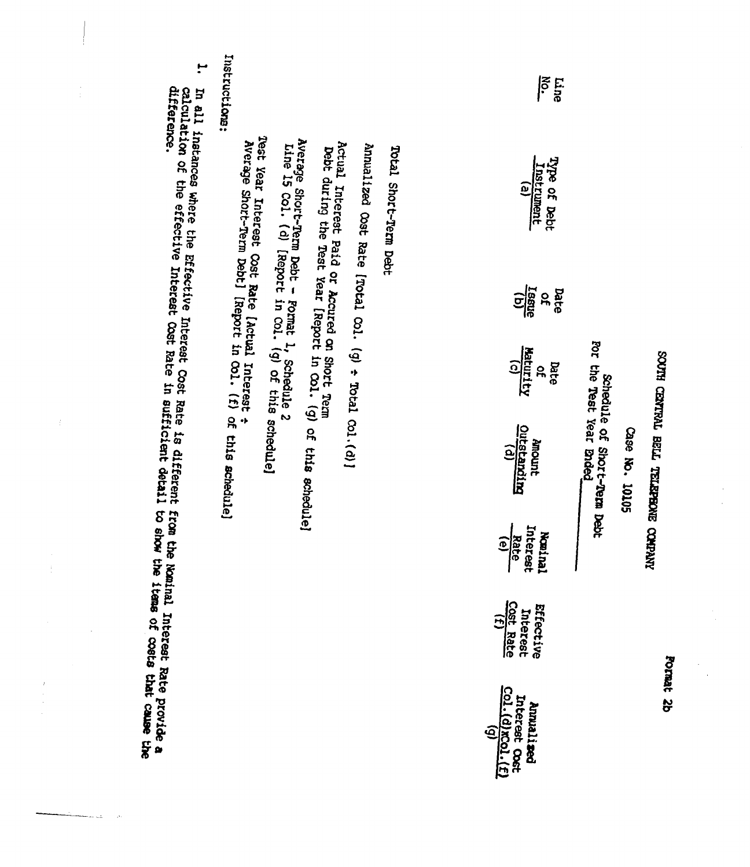|                       | H.                                                                                      | Instructions:                                                                                                                                                                                                                                                                                                                                                                                                                                 |                                              | $\frac{1}{2}$<br>Line                                                      |                                                         |
|-----------------------|-----------------------------------------------------------------------------------------|-----------------------------------------------------------------------------------------------------------------------------------------------------------------------------------------------------------------------------------------------------------------------------------------------------------------------------------------------------------------------------------------------------------------------------------------------|----------------------------------------------|----------------------------------------------------------------------------|---------------------------------------------------------|
|                       | calculation of the effective Interest Cost Rate<br>In 411 instances where the Effective | <b>Jest</b><br>Average Short-Term Debt - Format 1, Schedule 2<br>Line 15 Col. (d) [Report in Col. (g) of this 2<br>Average Short-Term Debt] [Report in Col. (f) of this schedule]<br>Actual Interest Paid or Accured on Short Tem<br>Annualized $\infty$ st Rate [Total $\infty1$ . (g) $\div$ Total $\infty1$ .(d)]<br>Total Short-Term Debt<br>Debt during the Test Year [Report in Col. (g) of<br>Year Interest Cost Rate [Actual Interest |                                              | Type of Debt<br>Instrument<br>e)                                           |                                                         |
|                       |                                                                                         |                                                                                                                                                                                                                                                                                                                                                                                                                                               |                                              | <b>Tasue</b><br>Date<br>œ                                                  |                                                         |
|                       |                                                                                         |                                                                                                                                                                                                                                                                                                                                                                                                                                               |                                              | $\frac{1}{\sqrt{2}}\sum_{i=1}^{n}$<br>Date<br>$\mathbf{a}$                 |                                                         |
|                       | Interest Cost Rate is different<br>in sufficient detail                                 | schedule]<br>this schedule]                                                                                                                                                                                                                                                                                                                                                                                                                   | <u>Outstanding</u>                           | For the Test Year Ended<br>Schedule of<br><b>Junour</b><br>Short-Term Debt | RIVING CENTRAL BELL TELEPHONE COMPANY<br>Case No. 10105 |
|                       | <b>from the</b><br>HOUS 07                                                              |                                                                                                                                                                                                                                                                                                                                                                                                                                               | Rate                                         | Interest<br>Noninal                                                        |                                                         |
|                       | Nominal Interest Rate provide a                                                         |                                                                                                                                                                                                                                                                                                                                                                                                                                               | Cost Rate                                    | Effective<br>Interest                                                      |                                                         |
| $\,$<br>$\frac{1}{2}$ | the items of costs that cause the                                                       |                                                                                                                                                                                                                                                                                                                                                                                                                                               | $\frac{1}{(11)\cdot 10000}$<br>Interest Cost | Annualized                                                                 | Format 2b                                               |

 $\frac{1}{\sqrt{2}}\sum_{i=1}^{n} \frac{1}{\sqrt{2}}\left(\frac{1}{\sqrt{2}}\right)^2$ 

 $\frac{1}{2}$ 

 $\begin{aligned} \frac{1}{\sqrt{2}}\left(\frac{1}{\sqrt{2}}\right) & = \frac{1}{2}\left(\frac{1}{\sqrt{2}}\right) \\ & = \frac{1}{2}\left(\frac{1}{\sqrt{2}}\right) \\ & = \frac{1}{2}\left(\frac{1}{\sqrt{2}}\right) \\ & = \frac{1}{2}\left(\frac{1}{\sqrt{2}}\right) \\ & = \frac{1}{2}\left(\frac{1}{\sqrt{2}}\right) \\ & = \frac{1}{2}\left(\frac{1}{\sqrt{2}}\right) \\ & = \frac{1}{2}\left(\frac{1}{\sqrt{2}}\right) \\ & = \frac{1}{2}\left(\frac{1}{\sqrt{2}}\right$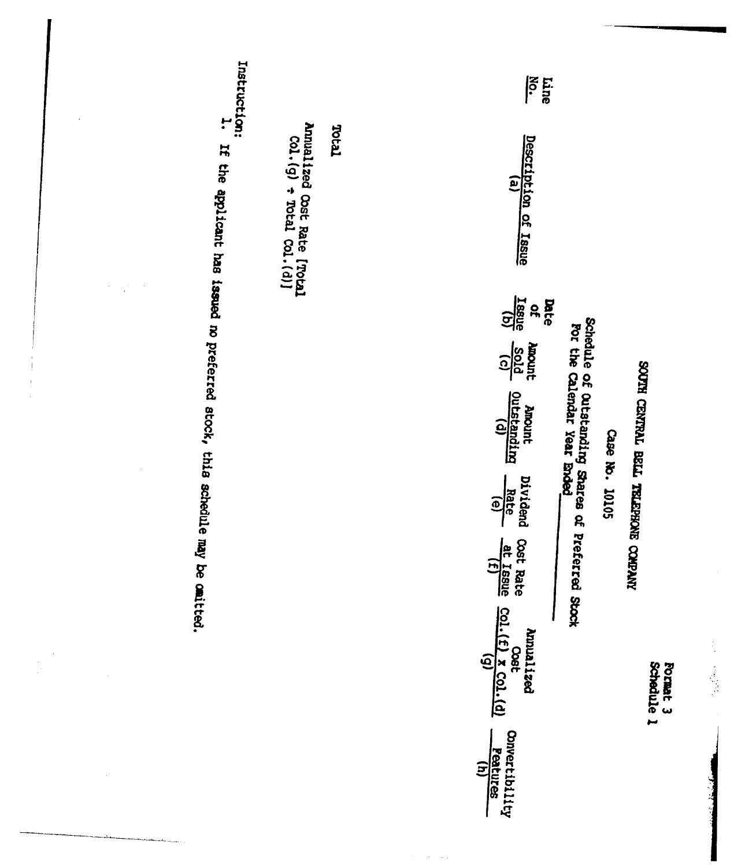

 $\bar{\gamma}$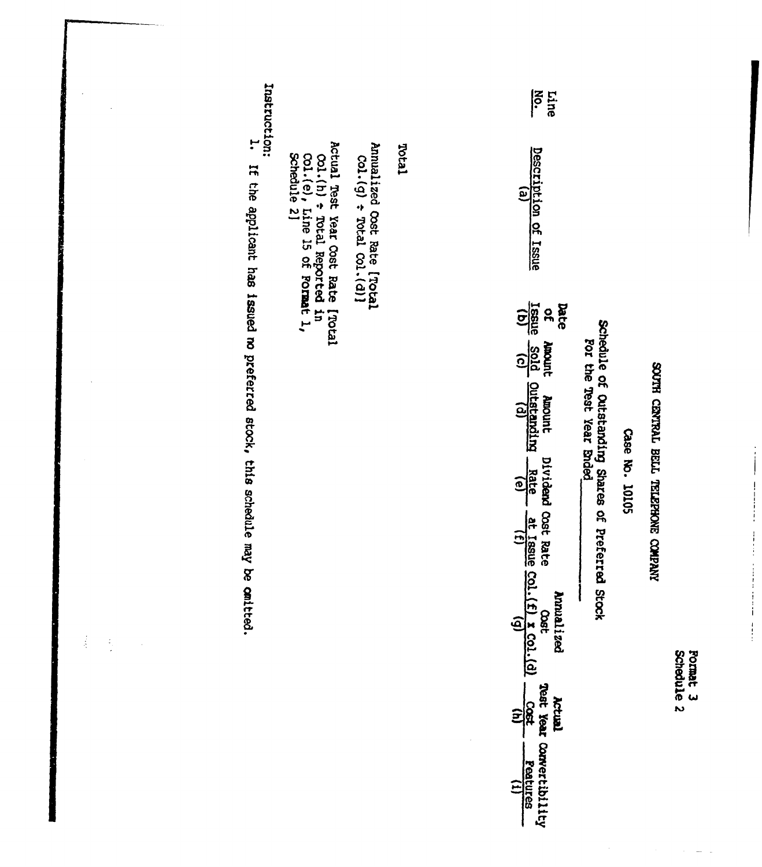$\frac{1}{\sqrt{2}}$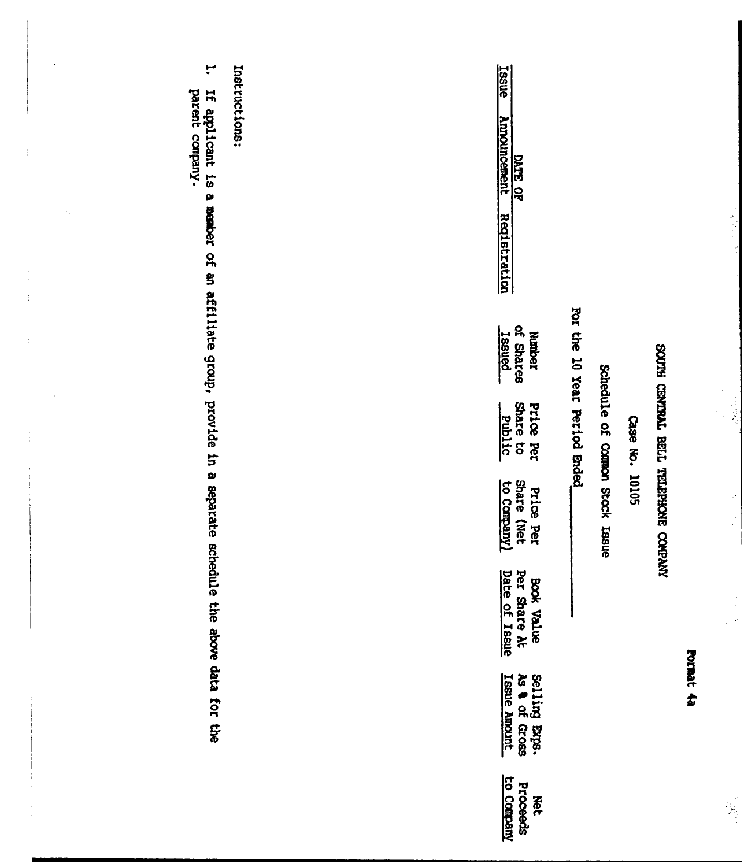# ROUTH CENTRAL BELL TELEPHONE COMPANY

 $\hat{\mathcal{I}}$ 

 $\begin{pmatrix} 1 \\ 1 \\ 1 \end{pmatrix}$ 

### Case No. 10105

## Schedule of Compon Stock Issue

## For the 10 Year Period Ended

| <b>BSUE</b><br>Innouncement<br>DATE OF<br><u>eqistratio</u>  |
|--------------------------------------------------------------|
| Number<br>1f Shares<br><u>Issued</u>                         |
| Price Per<br>Share to<br>Share to                            |
| Price Per<br>Share (Net<br><u>to Company)</u>                |
| BOOK Value<br>Per Share At<br>Date of Issue                  |
| Selling Exps.<br>As <b>a</b> of Gross<br><u>Issue Amount</u> |
| Proceeds<br>Proceeds<br><b>New</b>                           |

Instructions:

÷ If applicant is a member of an affiliate group, provide in a separate schedule the above data for the<br>parent company.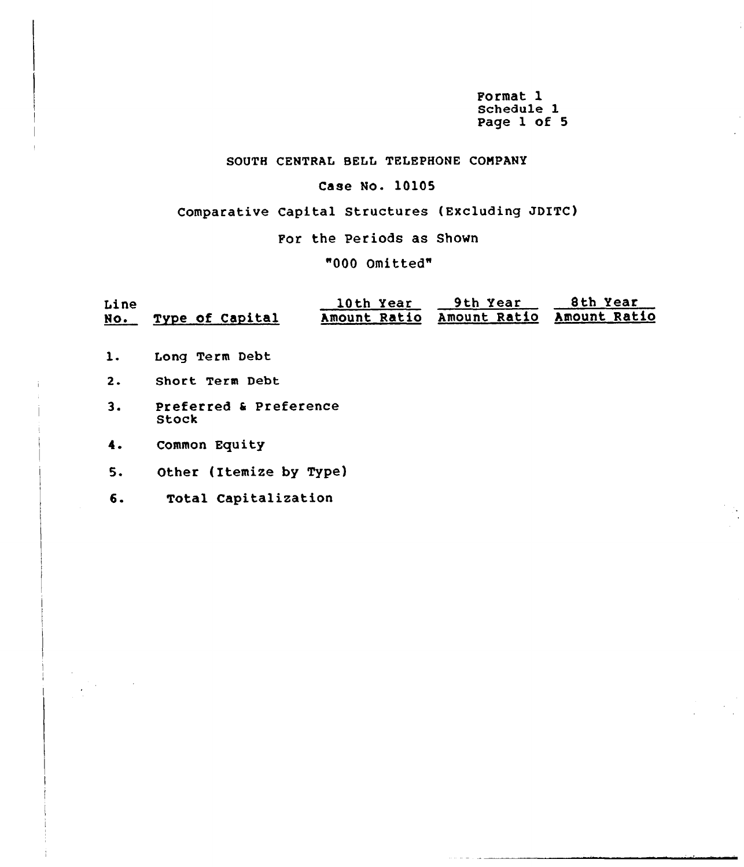Format 1 Schedule 1 Page 1 of 5

### SOUTH CENTRAL BELL TELEPHONE COMPANY

### Case No. 10105

Comparative Capital Structures (Excluding JDITC)

For the Periods as Shown

"000 Omitted"

| Line       |                 | 10th Year | 9th Year                               | 8th Year |
|------------|-----------------|-----------|----------------------------------------|----------|
| <u>NO.</u> | Type of Capital |           | Amount Ratio Amount Ratio Amount Ratio |          |

- $1.$ Long Term Debt
- $2.$ Short Term Debt
- 3. Preferred <sup>k</sup> Preference Stock
- Common Equity  $4.$
- 5. Other (Itemize by Type)
- 6. Total Capitalization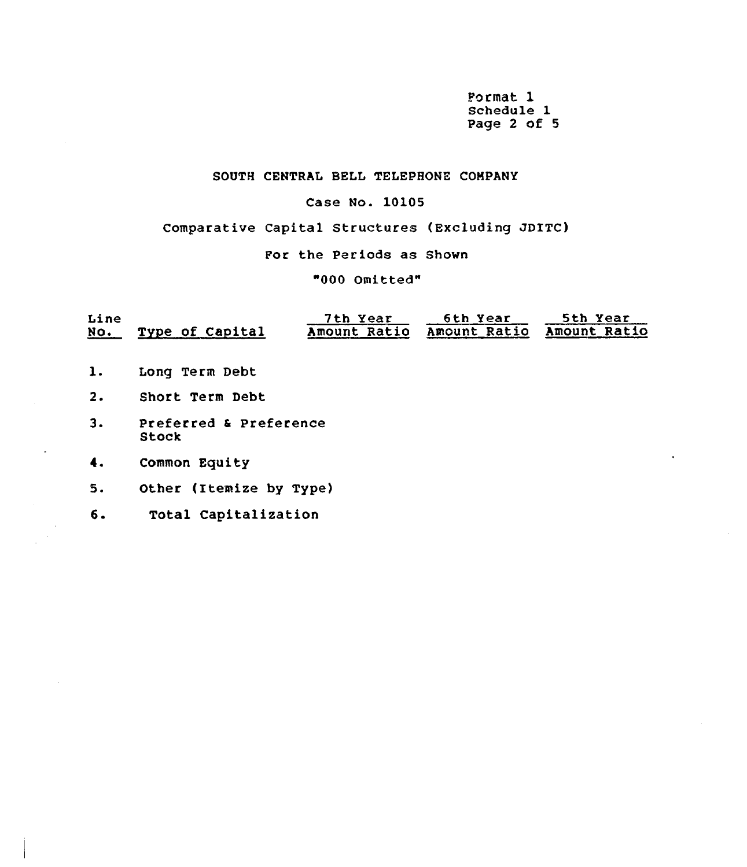Format l Schedule 1 Page <sup>2</sup> of 5

### SOUTH CENTRAL BELL TELEPHONE COMPANY

### Case No. 10105

Comparative Capital Structures (Excluding JDITC)

For the Periods as Shown

"000 Omitted"

| Line   |                 | 7th Year     | 6th Year            | 5th Year     |
|--------|-----------------|--------------|---------------------|--------------|
| $NO$ . | Type of Capital | Amount Ratio | <b>Amount Ratio</b> | Amount Ratio |

- Long Term Debt  $1.$
- $2.$ Short Term Debt
- $3.$ Preferred <sup>4</sup> Preference Stock
- 4. Common Equity
- Other (itemize by Type) 5.
- 6. Total Capitalization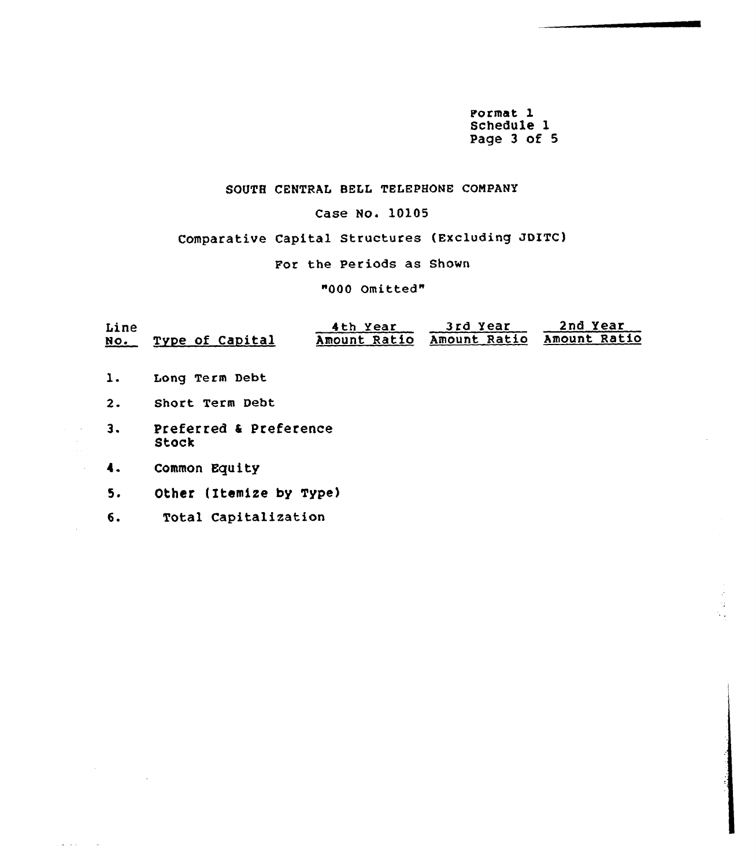Porma<sub>.</sub> Schedule 1 Page 3 of 5

### SOUTH CENTRAL BELL TELEPHONE COMPANY

### Case No. 10105

### Comparative Capital Structures (Excluding JDITC)

For the Periods as Shown

### "000 Omitted"

| Line<br>NO. | Type of Capital                 | 4th Year | 3rd Year<br>Amount Ratio Amount Ratio | 2nd Year<br>Amount Ratio |  |  |  |  |  |
|-------------|---------------------------------|----------|---------------------------------------|--------------------------|--|--|--|--|--|
| 1.          | Long Term Debt                  |          |                                       |                          |  |  |  |  |  |
| 2.          | Short Term Debt                 |          |                                       |                          |  |  |  |  |  |
| З.          | Preferred & Preference<br>Stock |          |                                       |                          |  |  |  |  |  |
| 4.          | Common Equity                   |          |                                       |                          |  |  |  |  |  |
| 5.          | Other (Itemize by Type)         |          |                                       |                          |  |  |  |  |  |
| б.          | Total Capitalization            |          |                                       |                          |  |  |  |  |  |

لمناد المعالجات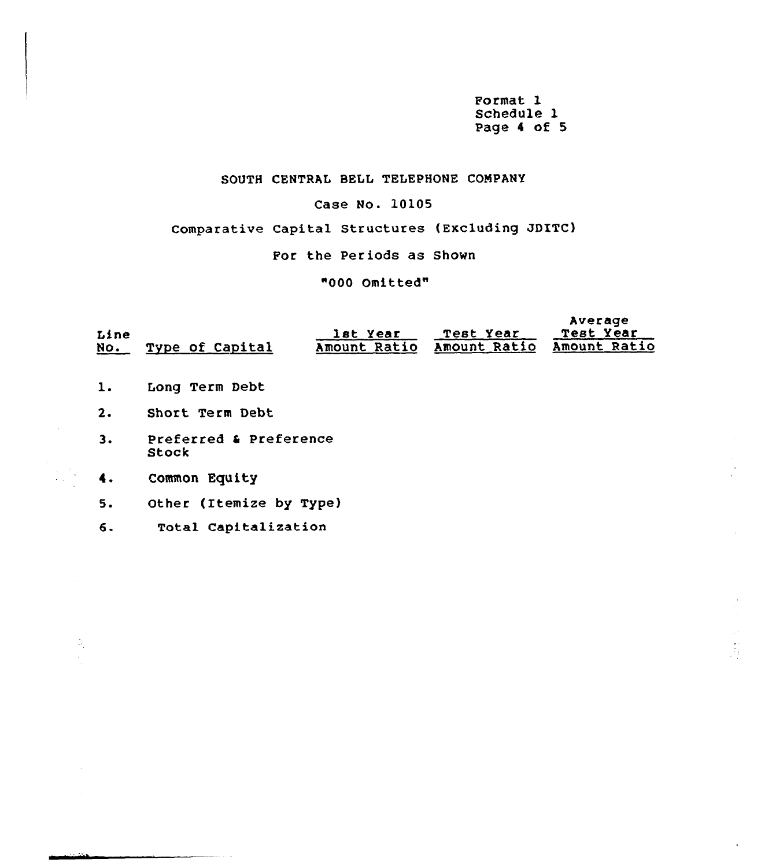Format 1 Schedule 1 Page <sup>4</sup> of 5

### SOUTH CENTRAL BELL TELEPHONE COMPANY

### Case No. 10105

Comparative Capital Structures (Excluding JDITC)

For the Periods as Shown

"000 Omitted"

| Line<br>No. | Type of Capital                 | lst Year<br>Amount Ratio | Test Year<br>Amount Ratio | Average<br>Test Year<br>Amount Ratio |  |  |  |  |
|-------------|---------------------------------|--------------------------|---------------------------|--------------------------------------|--|--|--|--|
| 1.          | Long Term Debt                  |                          |                           |                                      |  |  |  |  |
| 2.          | Short Term Debt                 |                          |                           |                                      |  |  |  |  |
| з.          | Preferred & Preference<br>Stock |                          |                           |                                      |  |  |  |  |
| 4.          | Common Equity                   |                          |                           |                                      |  |  |  |  |
| 5.          | Other (Itemize by Type)         |                          |                           |                                      |  |  |  |  |
| 6.          | Total Capitalization            |                          |                           |                                      |  |  |  |  |

÷.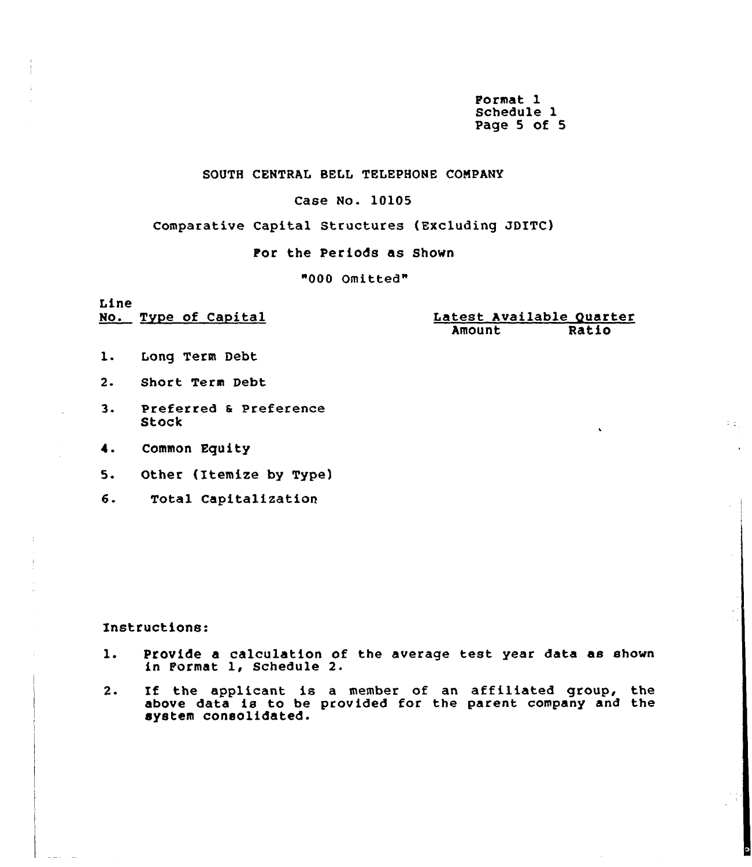Format 1 Schedule 1 Page 5 of 5

### SOUTH CENTRAL BELL TELEPHONE COMPANY

### Case No. 10105

### Comparative Capital Structures (Excluding JDITC)

### Por the Periods as Shown

"000 Omitted"

Line<br>No. Type of Capital

Latest Available Quarter<br>Amount Ratio Amount

 $1/\xi_{\rm T}$ 

- 1. Long Term Debt
- $2 -$ Short Term Debt
- 3. Preferred & Preference Stock
- 4. Common Equity
- 5. Other (Itemize by Type)
- $6.$ Total Capitalization

### Instructions:

- 1. Provide <sup>a</sup> calculation of the average test year data as shown in Format 1, Schedule 2.
- 2. If the applicant is <sup>a</sup> member of an affiliated group, the above data is to be provided for the parent company and the system consolidated.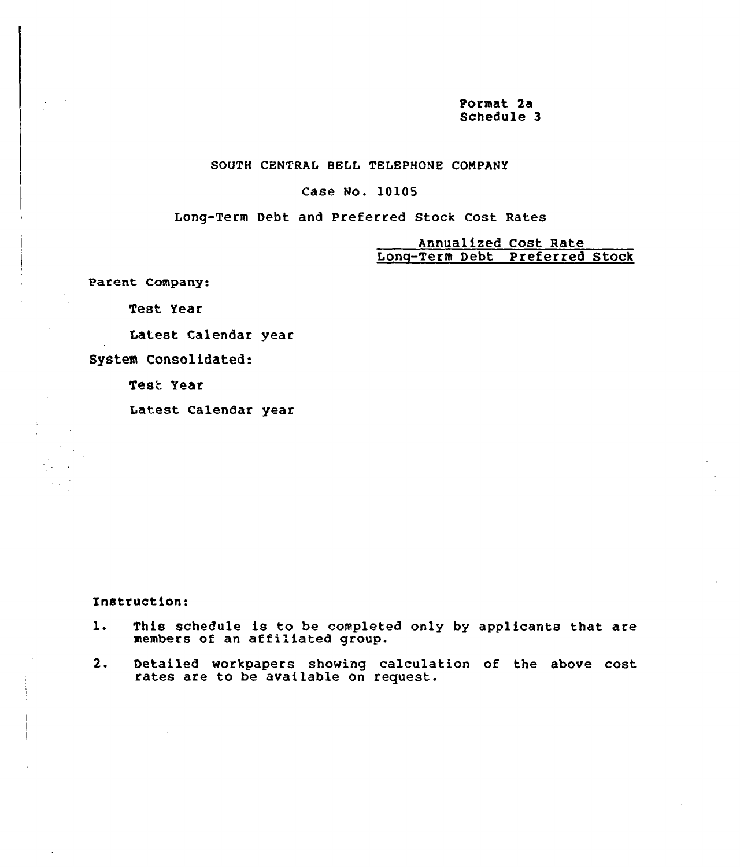pormat 2a Schedule 3

### SOUTH CENTRAL BELL TELEPHONE COMPANY

### Case No. 10105

Long-Term Debt and Preferred Stock Cost Rates

Annualized Cost Rate Long-Term Debt preferred stock

Parent Company:

Test Year

Latest Calendar year

System Consolidated:

Test Year

Latest Calendar year

Instruction:

- This schedule is to be completed only by applicants that are  $1.$ mis schedule is to be completed and the members of an affiliated group.
- Detailed vorkpapers shoving calculation of the above cost  $2.$ rates are to be available on request.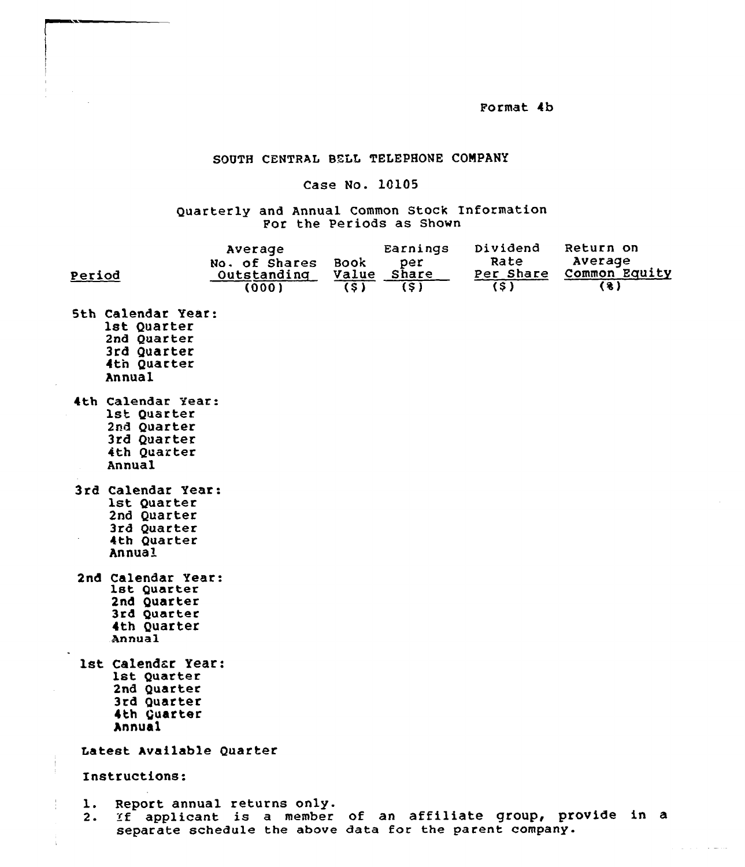Format 4b

### SOUTH CENTRAL BELL TELEPHONE COMPANY

### Case No. 10105

Quarterly and Annual Common Stock Information For the Periods as Shown

| Period   |                                                                                                 | Average<br>No. of Shares<br>Outstanding<br>(000)                                                                                                        | Book<br>Value<br>(5) | Earnings<br>per<br><i><b>Share</b></i><br>(5) | Dividend<br>Rate<br>Per Share<br>(5) | Return on<br>Average<br>Common Equity<br>(3) |
|----------|-------------------------------------------------------------------------------------------------|---------------------------------------------------------------------------------------------------------------------------------------------------------|----------------------|-----------------------------------------------|--------------------------------------|----------------------------------------------|
|          | <b>5th Calendar Year:</b><br>1st Quarter<br>2nd Quarter<br>3rd Quarter<br>4th Quarter<br>Annual |                                                                                                                                                         |                      |                                               |                                      |                                              |
|          | 4th Calendar Year:<br>1st Quarter<br>2nd Quarter<br>3rd Quarter<br>4th Quarter<br>Annual        |                                                                                                                                                         |                      |                                               |                                      |                                              |
|          | 3rd Calendar Year:<br>1st Quarter<br>2nd Quarter<br>3rd Quarter<br>4th Quarter<br>Annual        |                                                                                                                                                         |                      |                                               |                                      |                                              |
|          | 2nd Calendar Year:<br>lst Quarter<br>2nd Quarter<br>3rd Quarter<br>4th Quarter<br>Annual        |                                                                                                                                                         |                      |                                               |                                      |                                              |
|          | 1st Calendar Year:<br>lst Quarter<br>2nd Quarter<br>3rd Quarter<br>4th Guarter<br>Annual        |                                                                                                                                                         |                      |                                               |                                      |                                              |
|          | Latest Available Quarter                                                                        |                                                                                                                                                         |                      |                                               |                                      |                                              |
|          | Instructions:                                                                                   |                                                                                                                                                         |                      |                                               |                                      |                                              |
| ı.<br>2. |                                                                                                 | Report annual returns only.<br>If applicant is a member of an affiliate group, provide in a<br>separate schedule the above data for the parent company. |                      |                                               |                                      |                                              |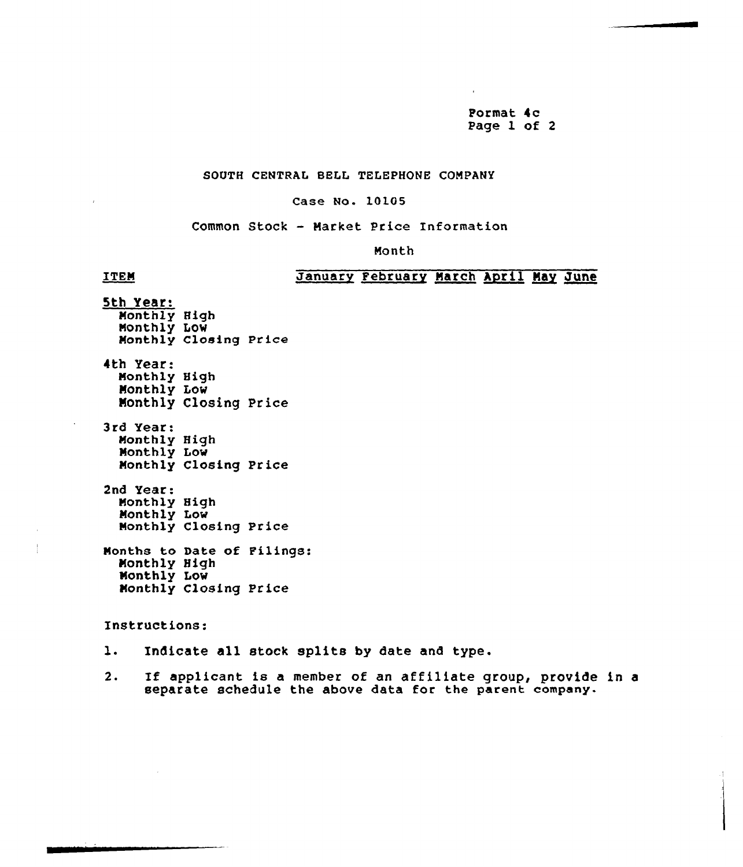Format 4c Page 1 of <sup>2</sup>

### SOUTH CENTRAL BELL TELEPHONE COMPANY

### Case No. LOL05

Common Stock - Market Price Enformation

Month

### **ITEM**

### January February March April May June

5th Year: Monthly High Nonthly Low Nonthly Closing Price 4th Year: Nonthly High Nonthly Low Monthly Closing Price 3rd Year: Nonthly High Monthly Low Nonthly Closing Price 2nd Year: Monthly High Monthly Low Monthly Closing Price Nonths to Date of Filings:

Nonthly High Monthly Low Nonthly Closing Price

Instructions:

- l. Indicate all stock splits by date and type.
- 2. If applicant is a member of an affiliate group, provide in a separate schedule the above data for the parent company.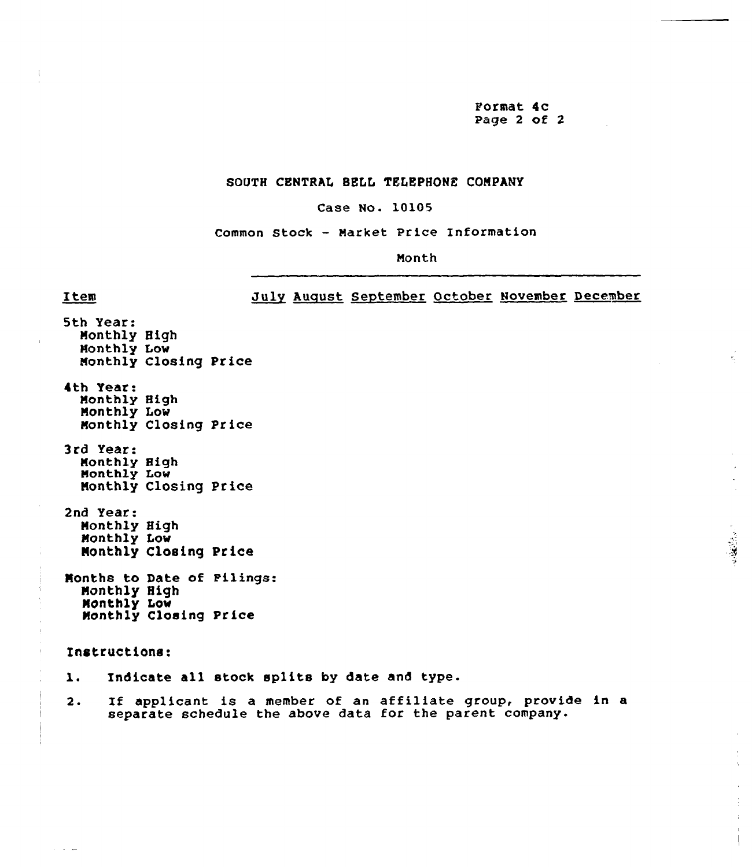Format 4c Page 2 of 2

 $\tau_{\rm c}$ 

 $\mathbb{R}^2$ 

 $\pm$ 

### SOUTH CENTRAL BELL TELEPHONE COMPANY

### Case No. 10105

Common Stock - Market Price Information

Month

### July August September October November December

5th Year: Monthly High Monthly Low Monthly Closing Price 4th Year: Monthly High Monthly Low Monthly Closing Price 3rd Year: Monthly High Monthly Low Monthly Closing Price 2nd Year: Monthly High Monthly Low Monthly Closing Price Months to Date of Filings: Monthly High Monthly Low Monthly Closing Price Instructions:  $\mathbf{1}$ . Indicate all stock splits by date and type.

Item

 $\sim 100$  km s  $^{-1}$ 

 $2.$ If applicant is a member of an affiliate group, provide in a separate schedule the above data for the parent company.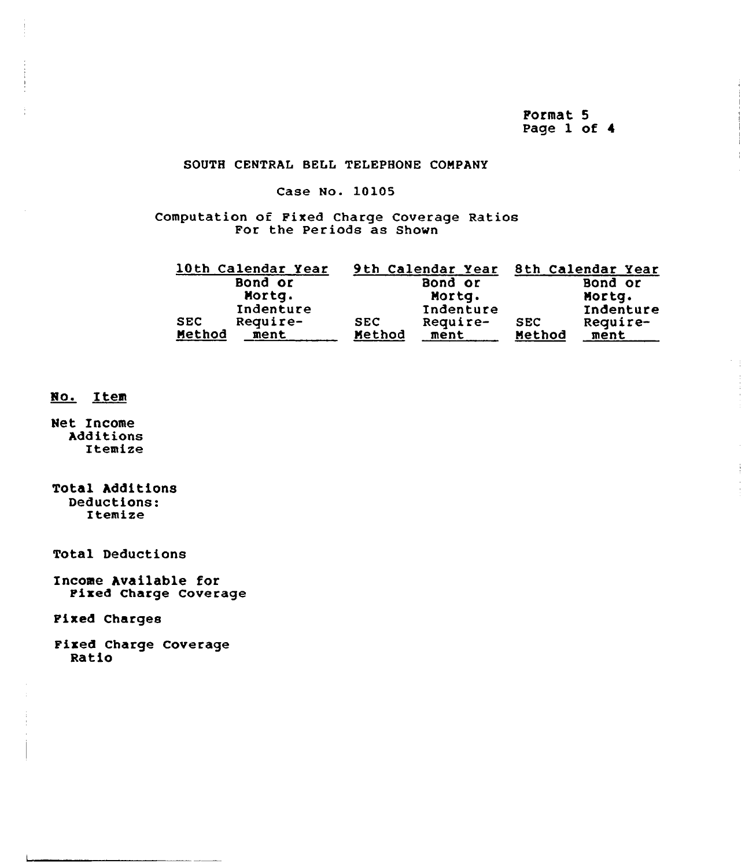Pormat 5 Page 1 of 4

### SOUTH CENTRAL BELL TELEPHONE COMPANY

### Case No. 10105

Computation of Fixed Charge Coverage Ratios<br>For the Periods as Shown

|            | 10th Calendar Year |            | 9th Calendar Year |            | 8th Calendar Year |
|------------|--------------------|------------|-------------------|------------|-------------------|
|            | Bond or            |            | Bond or           |            | Bond or           |
|            | Mortq.             |            | Mortg.            |            | Mortg.            |
|            | Indenture          |            | Indenture         |            | Indenture         |
| <b>SEC</b> | Require-           | <b>SEC</b> | Require-          | <b>SEC</b> | Require-          |
| Method     | ment               | Method     | ment              | Method     | ment              |

### No. Item

Net Income Additions Itemize

Total Additions Deductions: Itemize

**Total Deductions** 

Income Available for Pixed Charge Coverage

**Fixed Charges** 

Fixed Charge Coverage<br>Ratio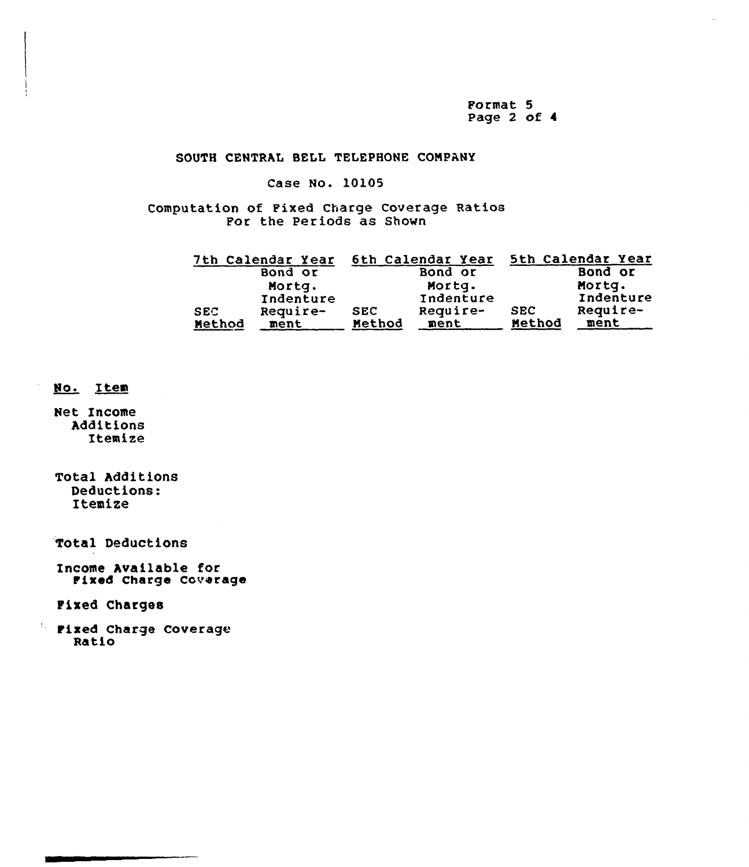Format 5 Page  $2$  of  $4$ 

### SOUTH CENTRAL BELL TELEPHONE COMPANY

### Case No. 10105

Computation of Fixed Charge Coverage Ratios For the Periods as Shown

|            | 7th Calendar Year |            | 6th Calendar Year |            | 5th Calendar Year |
|------------|-------------------|------------|-------------------|------------|-------------------|
|            | Bond or           |            | Bond or           |            | Bond or           |
|            | Mortg.            |            | Mortq.            |            | Mortg.            |
|            | Indenture         |            | Indenture         |            | Indenture         |
| <b>SEC</b> | Require-          | <b>SEC</b> | Require-          | <b>SEC</b> | Require-          |
| Method     | ment              | Method     | ment              | Method     | ment              |

### Io. Item

Net Income Additions Itemize

Total Additions Deductions: Itemize

Total Deductions

Income Available for Fixed Charge Coverage

Fixed Charges

**Fixed Charge Coverage** Ratio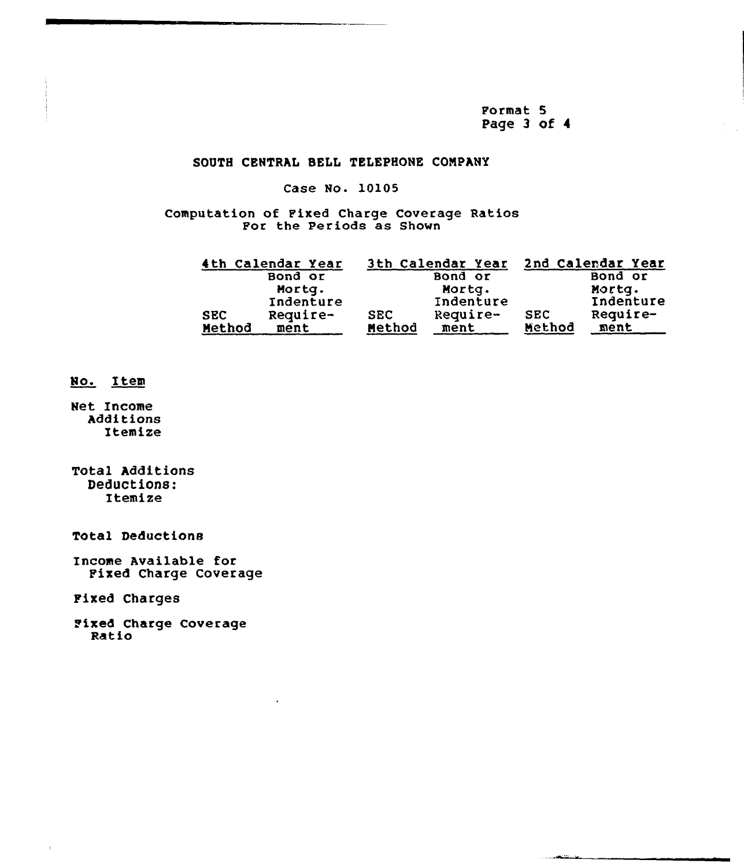Format 5 Page 3 of 4

<u>المحمد التي توقع من المر</u>

### SOOTH CENTRAL SELL TELEPHONE CONPMY

### Case No. 10105

ComPutation of Fixed Charge Coverage Ratios For the Periods as Shown

|            | 4th Calendar Year |            | 3th Calendar Year |            | 2nd Calendar Year |
|------------|-------------------|------------|-------------------|------------|-------------------|
|            | Bond or           |            | Bond or           |            | Bond or           |
|            | Mortg.            |            | Mortg.            |            | Mortg.            |
|            | Indenture         |            | Indenture         |            | Indenture         |
| <b>SEC</b> | Require-          | <b>SEC</b> | Require-          | <b>SEC</b> | Require-          |
| Method     | ment              | Method     | ment              | Method     | ment              |

### No. Item

Net Income Additions Itemize

Total Additions Deductions: Itemize

Total Deductions

Income Available for Fixed Charge Coverage

Fixed Charges

Fixed Charge Coverage Ratio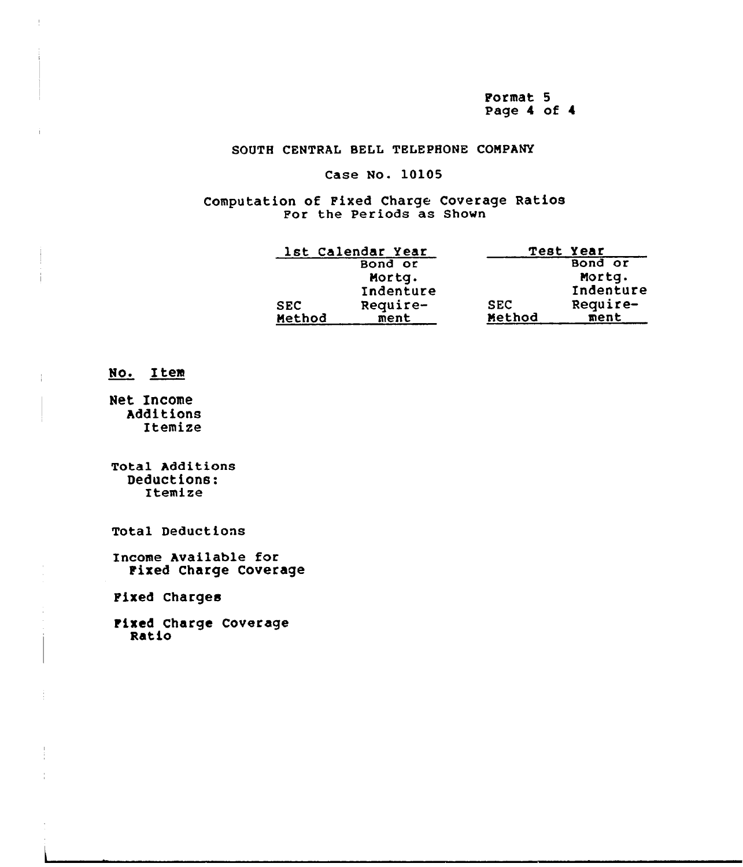Format 5 Page 4 of 4

### SOUTH CENTRAL BELL TELEPHONE COMPANY

### Case No. 10105

Computation of Fixed Charge Coverage Ratios For the Periods as Shown

|            | 1st Calendar Year |            | Test Year |
|------------|-------------------|------------|-----------|
|            | Bond or           |            | Bond or   |
|            | Mortg.            |            | Mortg.    |
|            | Indenture         |            | Indenture |
| <b>SEC</b> | Require-          | <b>SEC</b> | Require-  |
| Method     | ment              | Method     | ment      |

### No. Item

Net Income Additions Itemize

Total Additions Deductions: Itemize

Total Deductions

Income Available for Fixed Charge Coverage

Fixed Charges

Fixed Charge Coverage Ratio